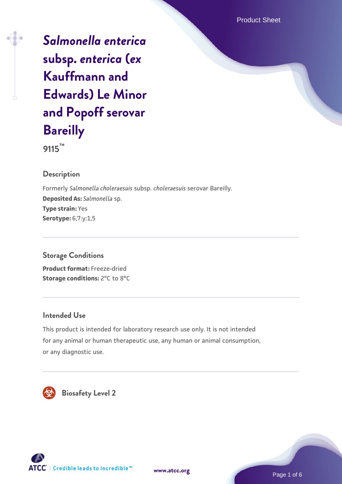Product Sheet

*[Salmonella enterica](https://www.atcc.org/products/9115)* **[subsp.](https://www.atcc.org/products/9115)** *[enterica](https://www.atcc.org/products/9115)* **[\(](https://www.atcc.org/products/9115)***[ex](https://www.atcc.org/products/9115)* **[Kauffmann and](https://www.atcc.org/products/9115) [Edwards\) Le Minor](https://www.atcc.org/products/9115) [and Popoff serovar](https://www.atcc.org/products/9115) [Bareilly](https://www.atcc.org/products/9115)**

**9115™**

#### **Description**

Formerly *Salmonella choleraesuis* subsp. *choleraesuis* serovar Bareilly. **Deposited As:** *Salmonella* sp. **Type strain:** Yes **Serotype:** 6,7:y:1,5

# **Storage Conditions**

**Product format:** Freeze-dried **Storage conditions:** 2°C to 8°C

#### **Intended Use**

This product is intended for laboratory research use only. It is not intended for any animal or human therapeutic use, any human or animal consumption, or any diagnostic use.



 **Biosafety Level 2**





Page 1 of 6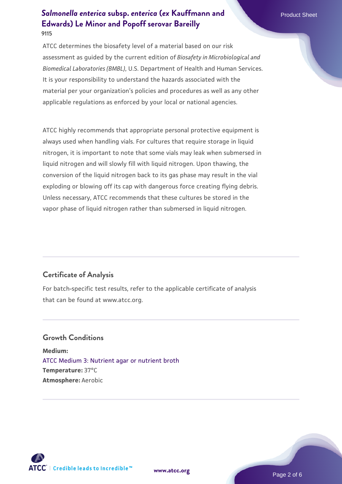ATCC determines the biosafety level of a material based on our risk assessment as guided by the current edition of *Biosafety in Microbiological and Biomedical Laboratories (BMBL)*, U.S. Department of Health and Human Services. It is your responsibility to understand the hazards associated with the material per your organization's policies and procedures as well as any other applicable regulations as enforced by your local or national agencies.

ATCC highly recommends that appropriate personal protective equipment is always used when handling vials. For cultures that require storage in liquid nitrogen, it is important to note that some vials may leak when submersed in liquid nitrogen and will slowly fill with liquid nitrogen. Upon thawing, the conversion of the liquid nitrogen back to its gas phase may result in the vial exploding or blowing off its cap with dangerous force creating flying debris. Unless necessary, ATCC recommends that these cultures be stored in the vapor phase of liquid nitrogen rather than submersed in liquid nitrogen.

# **Certificate of Analysis**

For batch-specific test results, refer to the applicable certificate of analysis that can be found at www.atcc.org.

# **Growth Conditions**

**Medium:**  [ATCC Medium 3: Nutrient agar or nutrient broth](https://www.atcc.org/-/media/product-assets/documents/microbial-media-formulations/3/atcc-medium-3.pdf?rev=7510837507e64d849c62a46b5b2197a1) **Temperature:** 37°C **Atmosphere:** Aerobic



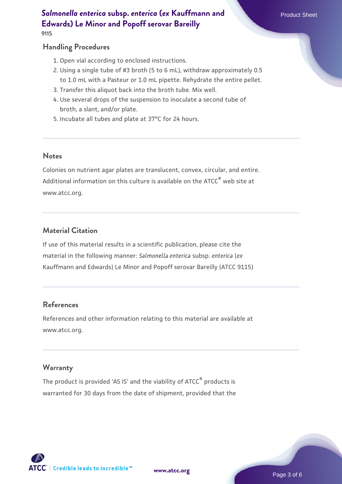**9115**

#### **Handling Procedures**

- 1. Open vial according to enclosed instructions.
- 2. Using a single tube of #3 broth (5 to 6 mL), withdraw approximately 0.5 to 1.0 mL with a Pasteur or 1.0 mL pipette. Rehydrate the entire pellet.
- 3. Transfer this aliquot back into the broth tube. Mix well.
- 4. Use several drops of the suspension to inoculate a second tube of broth, a slant, and/or plate.
- 5. Incubate all tubes and plate at 37°C for 24 hours.

#### **Notes**

Colonies on nutrient agar plates are translucent, convex, circular, and entire. Additional information on this culture is available on the ATCC<sup>®</sup> web site at www.atcc.org.

# **Material Citation**

If use of this material results in a scientific publication, please cite the material in the following manner: *Salmonella enterica* subsp. *enterica* (*ex* Kauffmann and Edwards) Le Minor and Popoff serovar Bareilly (ATCC 9115)

# **References**

References and other information relating to this material are available at www.atcc.org.

# **Warranty**

The product is provided 'AS IS' and the viability of ATCC® products is warranted for 30 days from the date of shipment, provided that the

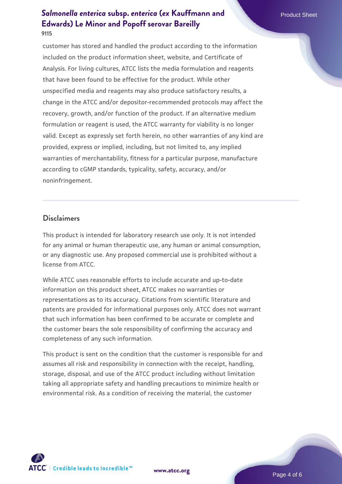customer has stored and handled the product according to the information included on the product information sheet, website, and Certificate of Analysis. For living cultures, ATCC lists the media formulation and reagents that have been found to be effective for the product. While other unspecified media and reagents may also produce satisfactory results, a change in the ATCC and/or depositor-recommended protocols may affect the recovery, growth, and/or function of the product. If an alternative medium formulation or reagent is used, the ATCC warranty for viability is no longer valid. Except as expressly set forth herein, no other warranties of any kind are provided, express or implied, including, but not limited to, any implied warranties of merchantability, fitness for a particular purpose, manufacture according to cGMP standards, typicality, safety, accuracy, and/or noninfringement.

#### **Disclaimers**

This product is intended for laboratory research use only. It is not intended for any animal or human therapeutic use, any human or animal consumption, or any diagnostic use. Any proposed commercial use is prohibited without a license from ATCC.

While ATCC uses reasonable efforts to include accurate and up-to-date information on this product sheet, ATCC makes no warranties or representations as to its accuracy. Citations from scientific literature and patents are provided for informational purposes only. ATCC does not warrant that such information has been confirmed to be accurate or complete and the customer bears the sole responsibility of confirming the accuracy and completeness of any such information.

This product is sent on the condition that the customer is responsible for and assumes all risk and responsibility in connection with the receipt, handling, storage, disposal, and use of the ATCC product including without limitation taking all appropriate safety and handling precautions to minimize health or environmental risk. As a condition of receiving the material, the customer



**[www.atcc.org](http://www.atcc.org)**

Page 4 of 6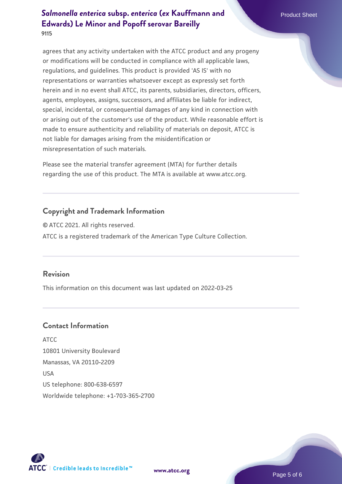agrees that any activity undertaken with the ATCC product and any progeny or modifications will be conducted in compliance with all applicable laws, regulations, and guidelines. This product is provided 'AS IS' with no representations or warranties whatsoever except as expressly set forth herein and in no event shall ATCC, its parents, subsidiaries, directors, officers, agents, employees, assigns, successors, and affiliates be liable for indirect, special, incidental, or consequential damages of any kind in connection with or arising out of the customer's use of the product. While reasonable effort is made to ensure authenticity and reliability of materials on deposit, ATCC is not liable for damages arising from the misidentification or misrepresentation of such materials.

Please see the material transfer agreement (MTA) for further details regarding the use of this product. The MTA is available at www.atcc.org.

# **Copyright and Trademark Information**

© ATCC 2021. All rights reserved. ATCC is a registered trademark of the American Type Culture Collection.

#### **Revision**

This information on this document was last updated on 2022-03-25

# **Contact Information**

ATCC 10801 University Boulevard Manassas, VA 20110-2209 USA US telephone: 800-638-6597 Worldwide telephone: +1-703-365-2700